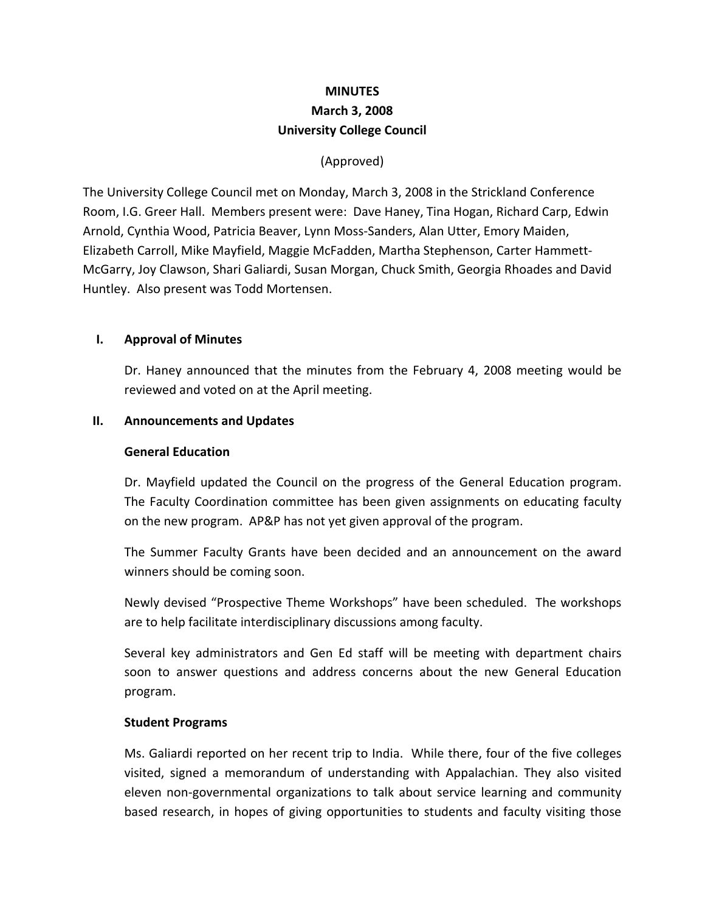# **MINUTES March 3, 2008 University College Council**

# (Approved)

The University College Council met on Monday, March 3, 2008 in the Strickland Conference Room, I.G. Greer Hall. Members present were: Dave Haney, Tina Hogan, Richard Carp, Edwin Arnold, Cynthia Wood, Patricia Beaver, Lynn Moss‐Sanders, Alan Utter, Emory Maiden, Elizabeth Carroll, Mike Mayfield, Maggie McFadden, Martha Stephenson, Carter Hammett‐ McGarry, Joy Clawson, Shari Galiardi, Susan Morgan, Chuck Smith, Georgia Rhoades and David Huntley. Also present was Todd Mortensen.

### **I. Approval of Minutes**

Dr. Haney announced that the minutes from the February 4, 2008 meeting would be reviewed and voted on at the April meeting.

#### **II. Announcements and Updates**

#### **General Education**

Dr. Mayfield updated the Council on the progress of the General Education program. The Faculty Coordination committee has been given assignments on educating faculty on the new program. AP&P has not yet given approval of the program.

The Summer Faculty Grants have been decided and an announcement on the award winners should be coming soon.

Newly devised "Prospective Theme Workshops" have been scheduled. The workshops are to help facilitate interdisciplinary discussions among faculty.

Several key administrators and Gen Ed staff will be meeting with department chairs soon to answer questions and address concerns about the new General Education program.

### **Student Programs**

Ms. Galiardi reported on her recent trip to India. While there, four of the five colleges visited, signed a memorandum of understanding with Appalachian. They also visited eleven non‐governmental organizations to talk about service learning and community based research, in hopes of giving opportunities to students and faculty visiting those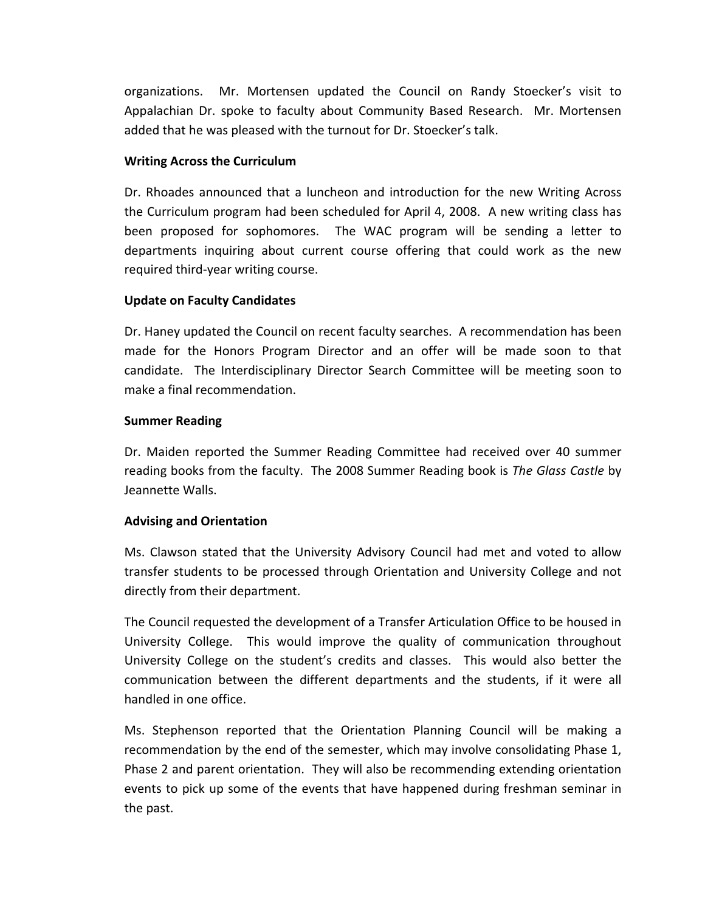organizations. Mr. Mortensen updated the Council on Randy Stoecker's visit to Appalachian Dr. spoke to faculty about Community Based Research. Mr. Mortensen added that he was pleased with the turnout for Dr. Stoecker's talk.

# **Writing Across the Curriculum**

Dr. Rhoades announced that a luncheon and introduction for the new Writing Across the Curriculum program had been scheduled for April 4, 2008. A new writing class has been proposed for sophomores. The WAC program will be sending a letter to departments inquiring about current course offering that could work as the new required third‐year writing course.

## **Update on Faculty Candidates**

Dr. Haney updated the Council on recent faculty searches. A recommendation has been made for the Honors Program Director and an offer will be made soon to that candidate. The Interdisciplinary Director Search Committee will be meeting soon to make a final recommendation.

## **Summer Reading**

Dr. Maiden reported the Summer Reading Committee had received over 40 summer reading books from the faculty. The 2008 Summer Reading book is *The Glass Castle* by Jeannette Walls.

# **Advising and Orientation**

Ms. Clawson stated that the University Advisory Council had met and voted to allow transfer students to be processed through Orientation and University College and not directly from their department.

The Council requested the development of a Transfer Articulation Office to be housed in University College. This would improve the quality of communication throughout University College on the student's credits and classes. This would also better the communication between the different departments and the students, if it were all handled in one office.

Ms. Stephenson reported that the Orientation Planning Council will be making a recommendation by the end of the semester, which may involve consolidating Phase 1, Phase 2 and parent orientation. They will also be recommending extending orientation events to pick up some of the events that have happened during freshman seminar in the past.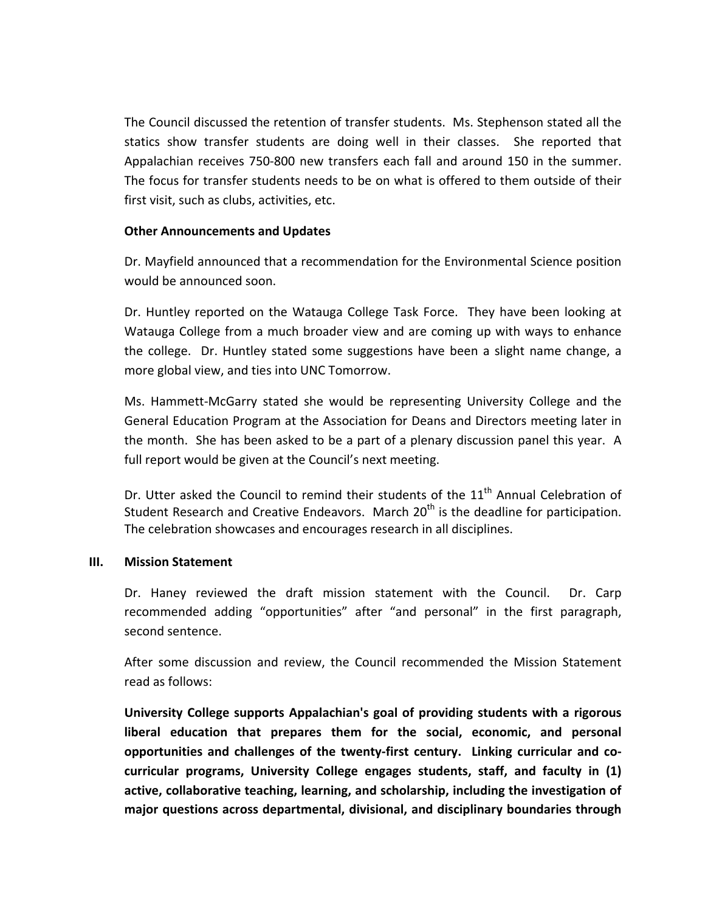The Council discussed the retention of transfer students. Ms. Stephenson stated all the statics show transfer students are doing well in their classes. She reported that Appalachian receives 750‐800 new transfers each fall and around 150 in the summer. The focus for transfer students needs to be on what is offered to them outside of their first visit, such as clubs, activities, etc.

#### **Other Announcements and Updates**

Dr. Mayfield announced that a recommendation for the Environmental Science position would be announced soon.

Dr. Huntley reported on the Watauga College Task Force. They have been looking at Watauga College from a much broader view and are coming up with ways to enhance the college. Dr. Huntley stated some suggestions have been a slight name change, a more global view, and ties into UNC Tomorrow.

Ms. Hammett‐McGarry stated she would be representing University College and the General Education Program at the Association for Deans and Directors meeting later in the month. She has been asked to be a part of a plenary discussion panel this year. A full report would be given at the Council's next meeting.

Dr. Utter asked the Council to remind their students of the 11<sup>th</sup> Annual Celebration of Student Research and Creative Endeavors. March 20<sup>th</sup> is the deadline for participation. The celebration showcases and encourages research in all disciplines.

### **III. Mission Statement**

Dr. Haney reviewed the draft mission statement with the Council. Dr. Carp recommended adding "opportunities" after "and personal" in the first paragraph, second sentence.

After some discussion and review, the Council recommended the Mission Statement read as follows:

**University College supports Appalachian's goal of providing students with a rigorous liberal education that prepares them for the social, economic, and personal opportunities and challenges of the twenty‐first century. Linking curricular and co‐ curricular programs, University College engages students, staff, and faculty in (1) active, collaborative teaching, learning, and scholarship, including the investigation of major questions across departmental, divisional, and disciplinary boundaries through**